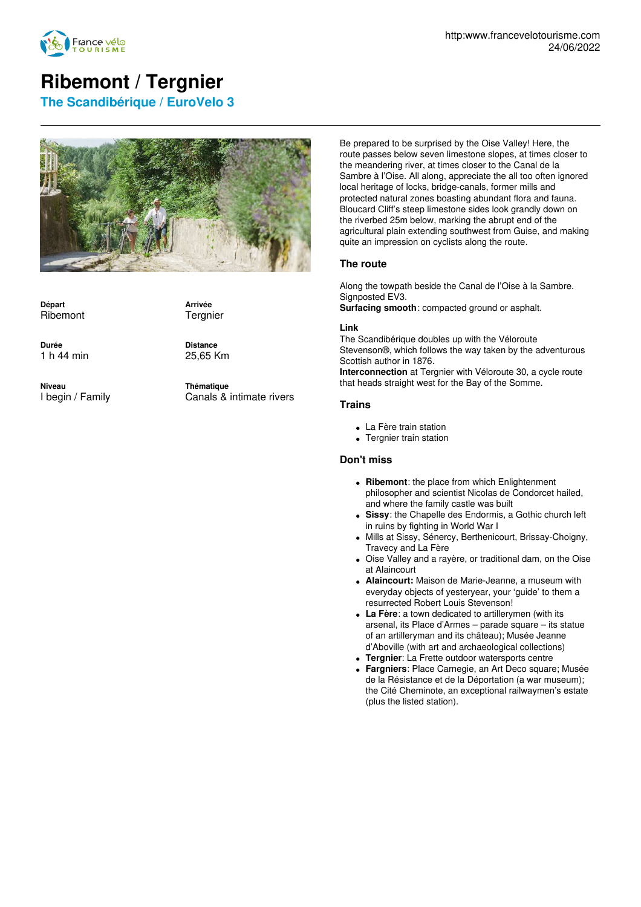

# **Ribemont / Tergnier**

**The Scandibérique / EuroVelo 3**



**Départ** Ribemont

**Arrivée Tergnier** 

**Durée** 1 h 44 min **Distance** 25,65 Km

**Niveau** I begin / Family **Thématique** Canals & intimate rivers

Be prepared to be surprised by the Oise Valley! Here, the route passes below seven limestone slopes, at times closer to the meandering river, at times closer to the Canal de la Sambre à l'Oise. All along, appreciate the all too often ignored local heritage of locks, bridge-canals, former mills and protected natural zones boasting abundant flora and fauna. Bloucard Cliff's steep limestone sides look grandly down on the riverbed 25m below, marking the abrupt end of the agricultural plain extending southwest from Guise, and making quite an impression on cyclists along the route.

## **The route**

Along the towpath beside the Canal de l'Oise à la Sambre. Signposted EV3. **Surfacing smooth**: compacted ground or asphalt.

#### **Link**

The Scandibérique doubles up with the Véloroute Stevenson®, which follows the way taken by the adventurous Scottish author in 1876.

**Interconnection** at Tergnier with Véloroute 30, a cycle route that heads straight west for the Bay of the Somme.

### **Trains**

- La Fère train station
- Tergnier train station

### **Don't miss**

- **Ribemont**: the place from which Enlightenment philosopher and scientist Nicolas de Condorcet hailed, and where the family castle was built
- **Sissy**: the Chapelle des Endormis, a Gothic church left in ruins by fighting in World War I
- Mills at Sissy, Sénercy, Berthenicourt, Brissay-Choigny, Travecy and La Fère
- Oise Valley and a rayère, or traditional dam, on the Oise at Alaincourt
- **Alaincourt:** Maison de Marie-Jeanne, a museum with everyday objects of yesteryear, your 'guide' to them a resurrected Robert Louis Stevenson!
- **La Fère**: a town dedicated to artillerymen (with its arsenal, its Place d'Armes – parade square – its statue of an artilleryman and its château); Musée Jeanne d'Aboville (with art and archaeological collections)
- **Tergnier**: La Frette outdoor watersports centre
- **Fargniers**: Place Carnegie, an Art Deco square; Musée de la Résistance et de la Déportation (a war museum); the Cité Cheminote, an exceptional railwaymen's estate (plus the listed station).